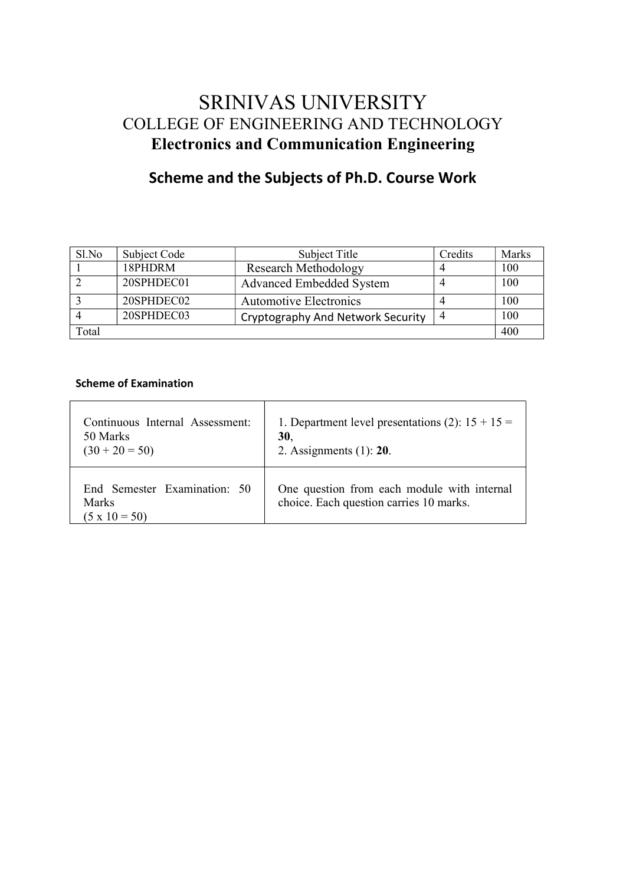# SRINIVAS UNIVERSITY COLLEGE OF ENGINEERING AND TECHNOLOGY Electronics and Communication Engineering

# Scheme and the Subjects of Ph.D. Course Work

| Sl.No | Subject Code | Subject Title                     | Credits | Marks |
|-------|--------------|-----------------------------------|---------|-------|
|       | 18PHDRM      | <b>Research Methodology</b>       |         | 100   |
|       | 20SPHDEC01   | <b>Advanced Embedded System</b>   |         | 100   |
|       | 20SPHDEC02   | <b>Automotive Electronics</b>     |         | 100   |
|       | 20SPHDEC03   | Cryptography And Network Security |         | 100   |
| Total |              |                                   |         | 400   |

# Scheme of Examination

| Continuous Internal Assessment:                               | 1. Department level presentations (2): $15 + 15 =$                                     |
|---------------------------------------------------------------|----------------------------------------------------------------------------------------|
| 50 Marks                                                      | 30,                                                                                    |
| $(30 + 20 = 50)$                                              | 2. Assignments $(1)$ : 20.                                                             |
| End Semester Examination: 50<br>Marks<br>$(5 \times 10 = 50)$ | One question from each module with internal<br>choice. Each question carries 10 marks. |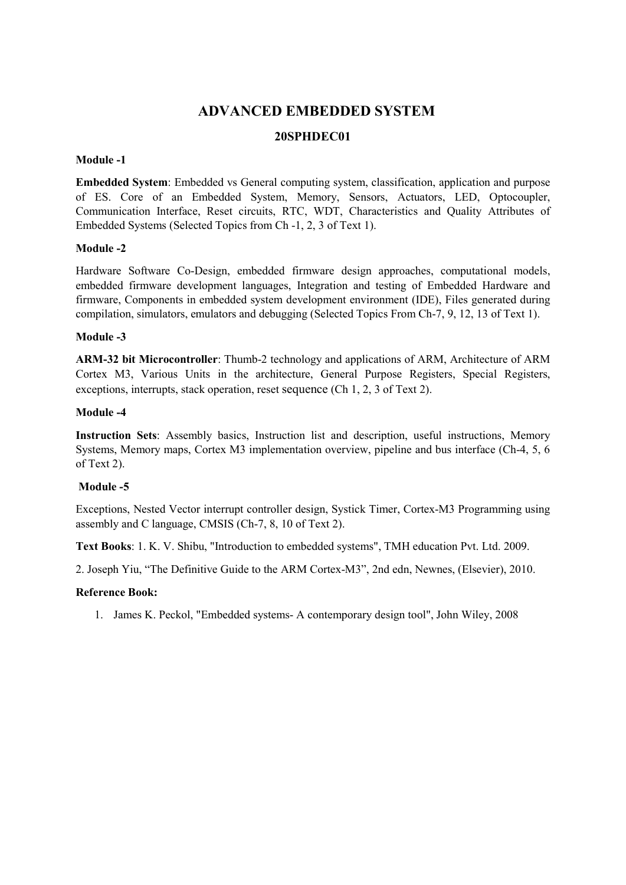# ADVANCED EMBEDDED SYSTEM

# 20SPHDEC01

### Module -1

Embedded System: Embedded vs General computing system, classification, application and purpose of ES. Core of an Embedded System, Memory, Sensors, Actuators, LED, Optocoupler, Communication Interface, Reset circuits, RTC, WDT, Characteristics and Quality Attributes of Embedded Systems (Selected Topics from Ch -1, 2, 3 of Text 1).

### Module -2

Hardware Software Co-Design, embedded firmware design approaches, computational models, embedded firmware development languages, Integration and testing of Embedded Hardware and firmware, Components in embedded system development environment (IDE), Files generated during compilation, simulators, emulators and debugging (Selected Topics From Ch-7, 9, 12, 13 of Text 1).

### Module -3

ARM-32 bit Microcontroller: Thumb-2 technology and applications of ARM, Architecture of ARM Cortex M3, Various Units in the architecture, General Purpose Registers, Special Registers, exceptions, interrupts, stack operation, reset sequence (Ch 1, 2, 3 of Text 2).

### Module -4

Instruction Sets: Assembly basics, Instruction list and description, useful instructions, Memory Systems, Memory maps, Cortex M3 implementation overview, pipeline and bus interface (Ch-4, 5, 6 of Text 2).

## Module -5

Exceptions, Nested Vector interrupt controller design, Systick Timer, Cortex-M3 Programming using assembly and C language, CMSIS (Ch-7, 8, 10 of Text 2).

Text Books: 1. K. V. Shibu, "Introduction to embedded systems", TMH education Pvt. Ltd. 2009.

2. Joseph Yiu, "The Definitive Guide to the ARM Cortex-M3", 2nd edn, Newnes, (Elsevier), 2010.

#### Reference Book:

1. James K. Peckol, "Embedded systems- A contemporary design tool", John Wiley, 2008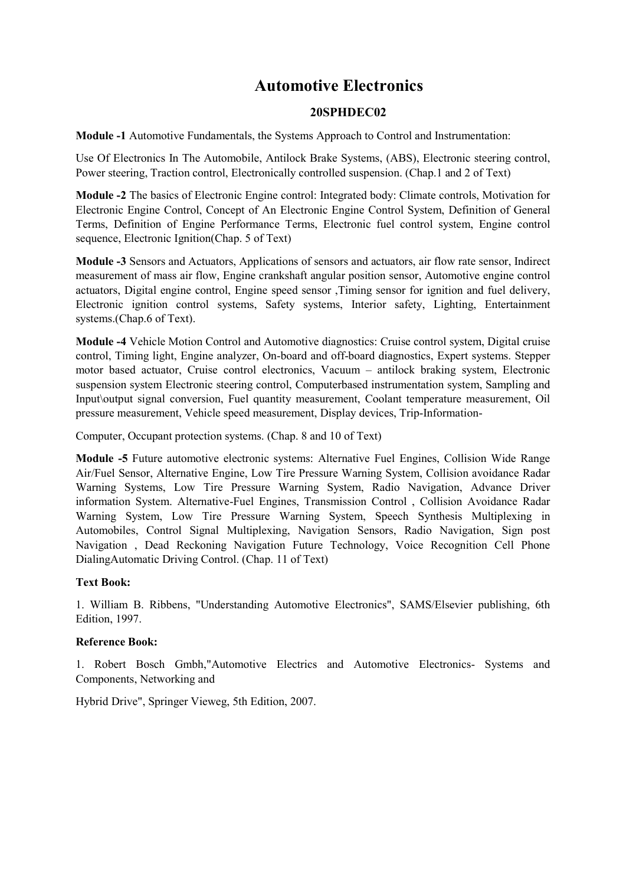# Automotive Electronics

## 20SPHDEC02

Module -1 Automotive Fundamentals, the Systems Approach to Control and Instrumentation:

Use Of Electronics In The Automobile, Antilock Brake Systems, (ABS), Electronic steering control, Power steering, Traction control, Electronically controlled suspension. (Chap.1 and 2 of Text)

Module -2 The basics of Electronic Engine control: Integrated body: Climate controls, Motivation for Electronic Engine Control, Concept of An Electronic Engine Control System, Definition of General Terms, Definition of Engine Performance Terms, Electronic fuel control system, Engine control sequence, Electronic Ignition(Chap. 5 of Text)

Module -3 Sensors and Actuators, Applications of sensors and actuators, air flow rate sensor, Indirect measurement of mass air flow, Engine crankshaft angular position sensor, Automotive engine control actuators, Digital engine control, Engine speed sensor ,Timing sensor for ignition and fuel delivery, Electronic ignition control systems, Safety systems, Interior safety, Lighting, Entertainment systems.(Chap.6 of Text).

Module -4 Vehicle Motion Control and Automotive diagnostics: Cruise control system, Digital cruise control, Timing light, Engine analyzer, On-board and off-board diagnostics, Expert systems. Stepper motor based actuator, Cruise control electronics, Vacuum – antilock braking system, Electronic suspension system Electronic steering control, Computerbased instrumentation system, Sampling and Input\output signal conversion, Fuel quantity measurement, Coolant temperature measurement, Oil pressure measurement, Vehicle speed measurement, Display devices, Trip-Information-

Computer, Occupant protection systems. (Chap. 8 and 10 of Text)

Module -5 Future automotive electronic systems: Alternative Fuel Engines, Collision Wide Range Air/Fuel Sensor, Alternative Engine, Low Tire Pressure Warning System, Collision avoidance Radar Warning Systems, Low Tire Pressure Warning System, Radio Navigation, Advance Driver information System. Alternative-Fuel Engines, Transmission Control , Collision Avoidance Radar Warning System, Low Tire Pressure Warning System, Speech Synthesis Multiplexing in Automobiles, Control Signal Multiplexing, Navigation Sensors, Radio Navigation, Sign post Navigation , Dead Reckoning Navigation Future Technology, Voice Recognition Cell Phone DialingAutomatic Driving Control. (Chap. 11 of Text)

## Text Book:

1. William B. Ribbens, "Understanding Automotive Electronics", SAMS/Elsevier publishing, 6th Edition, 1997.

#### Reference Book:

1. Robert Bosch Gmbh,"Automotive Electrics and Automotive Electronics- Systems and Components, Networking and

Hybrid Drive", Springer Vieweg, 5th Edition, 2007.